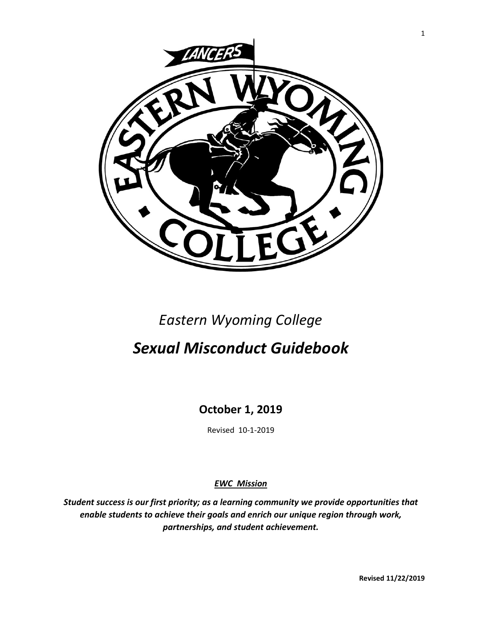

# *Eastern Wyoming College*

# *Sexual Misconduct Guidebook*

**October 1, 2019**

Revised 10-1-2019

*EWC Mission*

*Student success is our first priority; as a learning community we provide opportunities that enable students to achieve their goals and enrich our unique region through work, partnerships, and student achievement.*

**Revised 11/22/2019**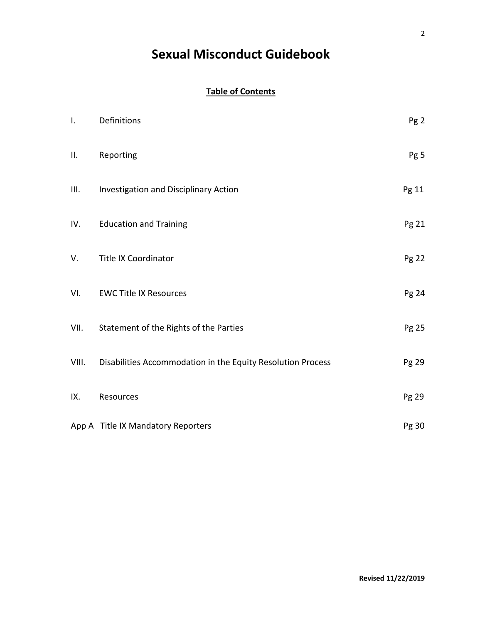# **Sexual Misconduct Guidebook**

# **Table of Contents**

| I.    | Definitions                                                 | Pg <sub>2</sub> |
|-------|-------------------------------------------------------------|-----------------|
| Ш.    | Reporting                                                   | Pg 5            |
| III.  | Investigation and Disciplinary Action                       | Pg 11           |
| IV.   | <b>Education and Training</b>                               | Pg 21           |
| V.    | <b>Title IX Coordinator</b>                                 | Pg 22           |
| VI.   | <b>EWC Title IX Resources</b>                               | Pg 24           |
| VII.  | Statement of the Rights of the Parties                      | Pg 25           |
| VIII. | Disabilities Accommodation in the Equity Resolution Process | Pg 29           |
| IX.   | Resources                                                   | Pg 29           |
|       | App A Title IX Mandatory Reporters                          | Pg 30           |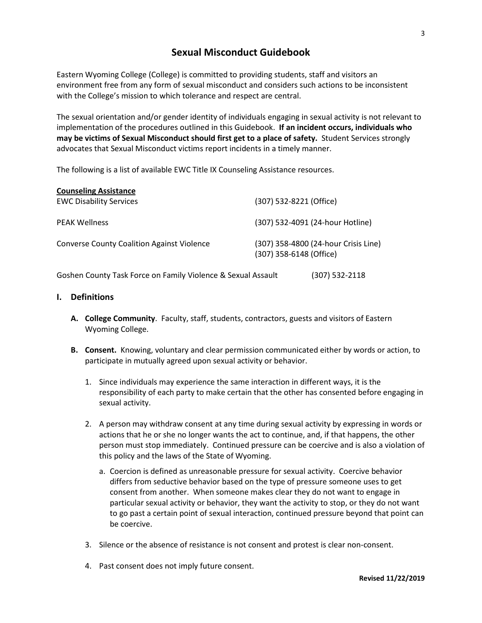# **Sexual Misconduct Guidebook**

Eastern Wyoming College (College) is committed to providing students, staff and visitors an environment free from any form of sexual misconduct and considers such actions to be inconsistent with the College's mission to which tolerance and respect are central.

The sexual orientation and/or gender identity of individuals engaging in sexual activity is not relevant to implementation of the procedures outlined in this Guidebook. **If an incident occurs, individuals who may be victims of Sexual Misconduct should first get to a place of safety.** Student Services strongly advocates that Sexual Misconduct victims report incidents in a timely manner.

The following is a list of available EWC Title IX Counseling Assistance resources.

| <b>Counseling Assistance</b>                      |                                                                 |
|---------------------------------------------------|-----------------------------------------------------------------|
| <b>EWC Disability Services</b>                    | (307) 532-8221 (Office)                                         |
| <b>PEAK Wellness</b>                              | (307) 532-4091 (24-hour Hotline)                                |
| <b>Converse County Coalition Against Violence</b> | (307) 358-4800 (24-hour Crisis Line)<br>(307) 358-6148 (Office) |

Goshen County Task Force on Family Violence & Sexual Assault (307) 532-2118

# **I. Definitions**

- **A. College Community**. Faculty, staff, students, contractors, guests and visitors of Eastern Wyoming College.
- **B. Consent.** Knowing, voluntary and clear permission communicated either by words or action, to participate in mutually agreed upon sexual activity or behavior.
	- 1. Since individuals may experience the same interaction in different ways, it is the responsibility of each party to make certain that the other has consented before engaging in sexual activity.
	- 2. A person may withdraw consent at any time during sexual activity by expressing in words or actions that he or she no longer wants the act to continue, and, if that happens, the other person must stop immediately. Continued pressure can be coercive and is also a violation of this policy and the laws of the State of Wyoming.
		- a. Coercion is defined as unreasonable pressure for sexual activity. Coercive behavior differs from seductive behavior based on the type of pressure someone uses to get consent from another. When someone makes clear they do not want to engage in particular sexual activity or behavior, they want the activity to stop, or they do not want to go past a certain point of sexual interaction, continued pressure beyond that point can be coercive.
	- 3. Silence or the absence of resistance is not consent and protest is clear non-consent.
	- 4. Past consent does not imply future consent.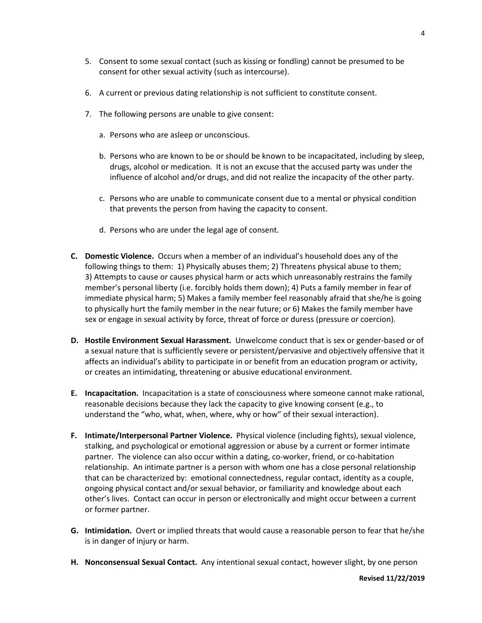- 5. Consent to some sexual contact (such as kissing or fondling) cannot be presumed to be consent for other sexual activity (such as intercourse).
- 6. A current or previous dating relationship is not sufficient to constitute consent.
- 7. The following persons are unable to give consent:
	- a. Persons who are asleep or unconscious.
	- b. Persons who are known to be or should be known to be incapacitated, including by sleep, drugs, alcohol or medication. It is not an excuse that the accused party was under the influence of alcohol and/or drugs, and did not realize the incapacity of the other party.
	- c. Persons who are unable to communicate consent due to a mental or physical condition that prevents the person from having the capacity to consent.
	- d. Persons who are under the legal age of consent.
- **C. Domestic Violence.** Occurs when a member of an individual's household does any of the following things to them: 1) Physically abuses them; 2) Threatens physical abuse to them; 3) Attempts to cause or causes physical harm or acts which unreasonably restrains the family member's personal liberty (i.e. forcibly holds them down); 4) Puts a family member in fear of immediate physical harm; 5) Makes a family member feel reasonably afraid that she/he is going to physically hurt the family member in the near future; or 6) Makes the family member have sex or engage in sexual activity by force, threat of force or duress (pressure or coercion).
- **D. Hostile Environment Sexual Harassment.** Unwelcome conduct that is sex or gender-based or of a sexual nature that is sufficiently severe or persistent/pervasive and objectively offensive that it affects an individual's ability to participate in or benefit from an education program or activity, or creates an intimidating, threatening or abusive educational environment.
- **E. Incapacitation.** Incapacitation is a state of consciousness where someone cannot make rational, reasonable decisions because they lack the capacity to give knowing consent (e.g., to understand the "who, what, when, where, why or how" of their sexual interaction).
- **F. Intimate/Interpersonal Partner Violence.** Physical violence (including fights), sexual violence, stalking, and psychological or emotional aggression or abuse by a current or former intimate partner. The violence can also occur within a dating, co-worker, friend, or co-habitation relationship. An intimate partner is a person with whom one has a close personal relationship that can be characterized by: emotional connectedness, regular contact, identity as a couple, ongoing physical contact and/or sexual behavior, or familiarity and knowledge about each other's lives. Contact can occur in person or electronically and might occur between a current or former partner.
- **G. Intimidation.** Overt or implied threats that would cause a reasonable person to fear that he/she is in danger of injury or harm.
- **H. Nonconsensual Sexual Contact.** Any intentional sexual contact, however slight, by one person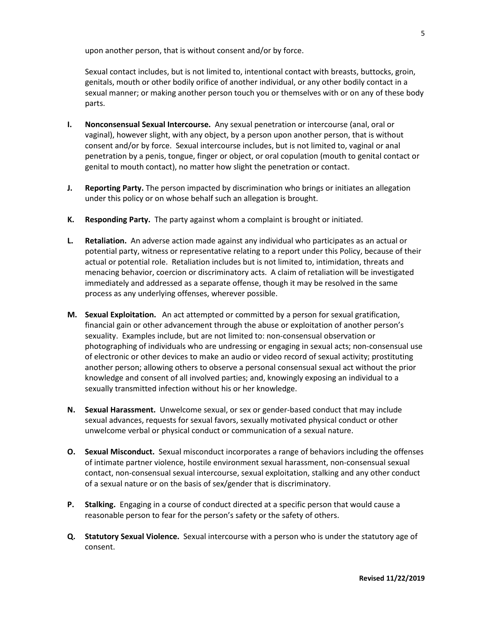upon another person, that is without consent and/or by force.

Sexual contact includes, but is not limited to, intentional contact with breasts, buttocks, groin, genitals, mouth or other bodily orifice of another individual, or any other bodily contact in a sexual manner; or making another person touch you or themselves with or on any of these body parts.

- **I. Nonconsensual Sexual Intercourse.** Any sexual penetration or intercourse (anal, oral or vaginal), however slight, with any object, by a person upon another person, that is without consent and/or by force. Sexual intercourse includes, but is not limited to, vaginal or anal penetration by a penis, tongue, finger or object, or oral copulation (mouth to genital contact or genital to mouth contact), no matter how slight the penetration or contact.
- **J. Reporting Party.** The person impacted by discrimination who brings or initiates an allegation under this policy or on whose behalf such an allegation is brought.
- **K. Responding Party.** The party against whom a complaint is brought or initiated.
- **L. Retaliation.** An adverse action made against any individual who participates as an actual or potential party, witness or representative relating to a report under this Policy, because of their actual or potential role. Retaliation includes but is not limited to, intimidation, threats and menacing behavior, coercion or discriminatory acts. A claim of retaliation will be investigated immediately and addressed as a separate offense, though it may be resolved in the same process as any underlying offenses, wherever possible.
- **M. Sexual Exploitation.** An act attempted or committed by a person for sexual gratification, financial gain or other advancement through the abuse or exploitation of another person's sexuality. Examples include, but are not limited to: non-consensual observation or photographing of individuals who are undressing or engaging in sexual acts; non-consensual use of electronic or other devices to make an audio or video record of sexual activity; prostituting another person; allowing others to observe a personal consensual sexual act without the prior knowledge and consent of all involved parties; and, knowingly exposing an individual to a sexually transmitted infection without his or her knowledge.
- **N. Sexual Harassment.** Unwelcome sexual, or sex or gender-based conduct that may include sexual advances, requests for sexual favors, sexually motivated physical conduct or other unwelcome verbal or physical conduct or communication of a sexual nature.
- **O. Sexual Misconduct.** Sexual misconduct incorporates a range of behaviors including the offenses of intimate partner violence, hostile environment sexual harassment, non-consensual sexual contact, non-consensual sexual intercourse, sexual exploitation, stalking and any other conduct of a sexual nature or on the basis of sex/gender that is discriminatory.
- **P. Stalking.** Engaging in a course of conduct directed at a specific person that would cause a reasonable person to fear for the person's safety or the safety of others.
- **Q. Statutory Sexual Violence.** Sexual intercourse with a person who is under the statutory age of consent.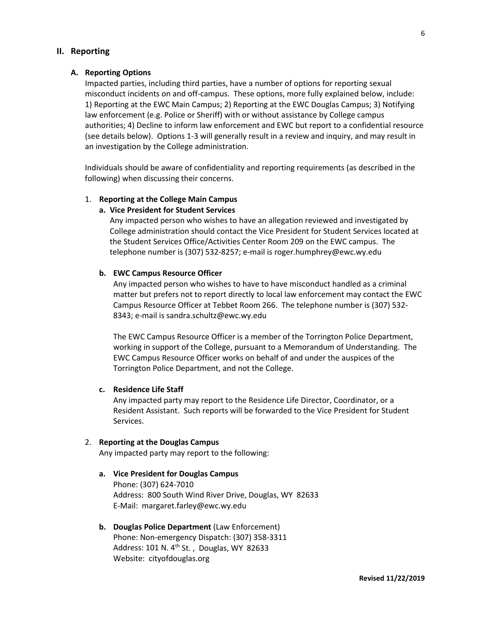# **II. Reporting**

#### **A. Reporting Options**

Impacted parties, including third parties, have a number of options for reporting sexual misconduct incidents on and off-campus. These options, more fully explained below, include: 1) Reporting at the EWC Main Campus; 2) Reporting at the EWC Douglas Campus; 3) Notifying law enforcement (e.g. Police or Sheriff) with or without assistance by College campus authorities; 4) Decline to inform law enforcement and EWC but report to a confidential resource (see details below). Options 1-3 will generally result in a review and inquiry, and may result in an investigation by the College administration.

Individuals should be aware of confidentiality and reporting requirements (as described in the following) when discussing their concerns.

# 1. **Reporting at the College Main Campus**

#### **a. Vice President for Student Services**

Any impacted person who wishes to have an allegation reviewed and investigated by College administration should contact the Vice President for Student Services located at the Student Services Office/Activities Center Room 209 on the EWC campus. The telephone number is (307) 532-8257; e-mail is roger.humphrey@ewc.wy.edu

#### **b. EWC Campus Resource Officer**

Any impacted person who wishes to have to have misconduct handled as a criminal matter but prefers not to report directly to local law enforcement may contact the EWC Campus Resource Officer at Tebbet Room 266. The telephone number is (307) 532- 8343; e-mail is sandra.schultz@ewc.wy.edu

The EWC Campus Resource Officer is a member of the Torrington Police Department, working in support of the College, pursuant to a Memorandum of Understanding. The EWC Campus Resource Officer works on behalf of and under the auspices of the Torrington Police Department, and not the College.

# **c. Residence Life Staff**

Any impacted party may report to the Residence Life Director, Coordinator, or a Resident Assistant. Such reports will be forwarded to the Vice President for Student Services.

#### 2. **Reporting at the Douglas Campus**

Any impacted party may report to the following:

**a. Vice President for Douglas Campus** Phone: (307) 624-7010 Address: 800 South Wind River Drive, Douglas, WY 82633 E-Mail: margaret.farley@ewc.wy.edu

# **b. Douglas Police Department** (Law Enforcement) Phone: Non-emergency Dispatch: (307) 358-3311 Address: 101 N. 4<sup>th</sup> St., Douglas, WY 82633 Website: cityofdouglas.org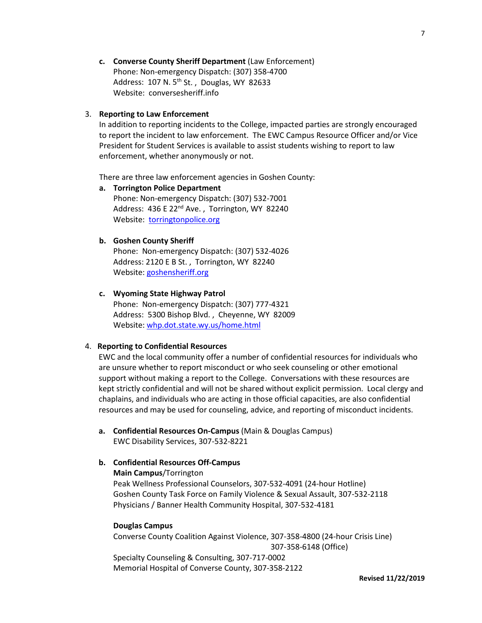**c. Converse County Sheriff Department** (Law Enforcement) Phone: Non-emergency Dispatch: (307) 358-4700 Address: 107 N. 5<sup>th</sup> St., Douglas, WY 82633 Website: conversesheriff.info

#### 3. **Reporting to Law Enforcement**

In addition to reporting incidents to the College, impacted parties are strongly encouraged to report the incident to law enforcement. The EWC Campus Resource Officer and/or Vice President for Student Services is available to assist students wishing to report to law enforcement, whether anonymously or not.

There are three law enforcement agencies in Goshen County:

**a. Torrington Police Department** Phone: Non-emergency Dispatch: (307) 532-7001 Address: 436 E 22<sup>nd</sup> Ave., Torrington, WY 82240 Website: [torringtonpolice.org](http://www.torringtonpolice.org/)

#### **b. Goshen County Sheriff**

Phone: Non-emergency Dispatch: (307) 532-4026 Address: 2120 E B St. , Torrington, WY 82240 Website[: goshensheriff.org](http://www.goshensheriff.org/)

### **c. Wyoming State Highway Patrol**

Phone: Non-emergency Dispatch: (307) 777-4321 Address: 5300 Bishop Blvd. , Cheyenne, WY 82009 Website[: whp.dot.state.wy.us/home.html](http://www.whp.dot.state.wy.us/home.html)

#### 4. **Reporting to Confidential Resources**

 EWC and the local community offer a number of confidential resources for individuals who are unsure whether to report misconduct or who seek counseling or other emotional support without making a report to the College. Conversations with these resources are kept strictly confidential and will not be shared without explicit permission. Local clergy and chaplains, and individuals who are acting in those official capacities, are also confidential resources and may be used for counseling, advice, and reporting of misconduct incidents.

 **a. Confidential Resources On-Campus** (Main & Douglas Campus) EWC Disability Services, 307-532-8221

# **b. Confidential Resources Off-Campus**

#### **Main Campus**/Torrington

Peak Wellness Professional Counselors, 307-532-4091 (24-hour Hotline) Goshen County Task Force on Family Violence & Sexual Assault, 307-532-2118 Physicians / Banner Health Community Hospital, 307-532-4181

#### **Douglas Campus**

Converse County Coalition Against Violence, 307-358-4800 (24-hour Crisis Line) 307-358-6148 (Office) Specialty Counseling & Consulting, 307-717-0002 Memorial Hospital of Converse County, 307-358-2122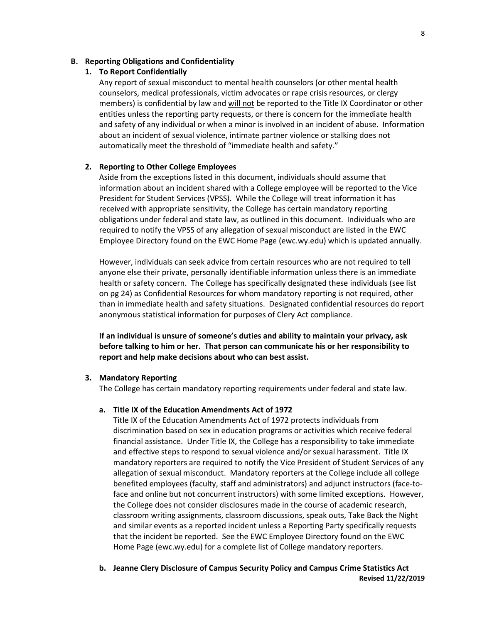# **B. Reporting Obligations and Confidentiality**

#### **1. To Report Confidentially**

Any report of sexual misconduct to mental health counselors (or other mental health counselors, medical professionals, victim advocates or rape crisis resources, or clergy members) is confidential by law and will not be reported to the Title IX Coordinator or other entities unless the reporting party requests, or there is concern for the immediate health and safety of any individual or when a minor is involved in an incident of abuse. Information about an incident of sexual violence, intimate partner violence or stalking does not automatically meet the threshold of "immediate health and safety."

# **2. Reporting to Other College Employees**

Aside from the exceptions listed in this document, individuals should assume that information about an incident shared with a College employee will be reported to the Vice President for Student Services (VPSS). While the College will treat information it has received with appropriate sensitivity, the College has certain mandatory reporting obligations under federal and state law, as outlined in this document. Individuals who are required to notify the VPSS of any allegation of sexual misconduct are listed in the EWC Employee Directory found on the EWC Home Page (ewc.wy.edu) which is updated annually.

However, individuals can seek advice from certain resources who are not required to tell anyone else their private, personally identifiable information unless there is an immediate health or safety concern. The College has specifically designated these individuals (see list on pg 24) as Confidential Resources for whom mandatory reporting is not required, other than in immediate health and safety situations. Designated confidential resources do report anonymous statistical information for purposes of Clery Act compliance.

**If an individual is unsure of someone's duties and ability to maintain your privacy, ask before talking to him or her. That person can communicate his or her responsibility to report and help make decisions about who can best assist.**

#### **3. Mandatory Reporting**

The College has certain mandatory reporting requirements under federal and state law.

#### **a. Title IX of the Education Amendments Act of 1972**

Title IX of the Education Amendments Act of 1972 protects individuals from discrimination based on sex in education programs or activities which receive federal financial assistance. Under Title IX, the College has a responsibility to take immediate and effective steps to respond to sexual violence and/or sexual harassment. Title IX mandatory reporters are required to notify the Vice President of Student Services of any allegation of sexual misconduct. Mandatory reporters at the College include all college benefited employees (faculty, staff and administrators) and adjunct instructors (face-toface and online but not concurrent instructors) with some limited exceptions. However, the College does not consider disclosures made in the course of academic research, classroom writing assignments, classroom discussions, speak outs, Take Back the Night and similar events as a reported incident unless a Reporting Party specifically requests that the incident be reported. See the EWC Employee Directory found on the EWC Home Page (ewc.wy.edu) for a complete list of College mandatory reporters.

**Revised 11/22/2019 b. Jeanne Clery Disclosure of Campus Security Policy and Campus Crime Statistics Act**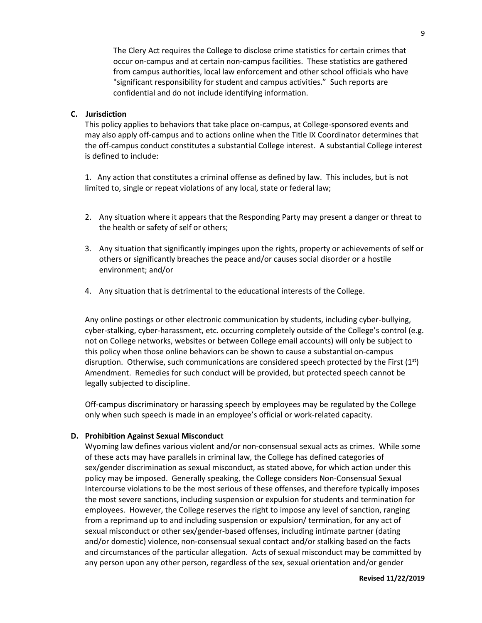The Clery Act requires the College to disclose crime statistics for certain crimes that occur on-campus and at certain non-campus facilities. These statistics are gathered from campus authorities, local law enforcement and other school officials who have "significant responsibility for student and campus activities." Such reports are confidential and do not include identifying information.

# **C. Jurisdiction**

This policy applies to behaviors that take place on-campus, at College-sponsored events and may also apply off-campus and to actions online when the Title IX Coordinator determines that the off-campus conduct constitutes a substantial College interest. A substantial College interest is defined to include:

1. Any action that constitutes a criminal offense as defined by law. This includes, but is not limited to, single or repeat violations of any local, state or federal law;

- 2. Any situation where it appears that the Responding Party may present a danger or threat to the health or safety of self or others;
- 3. Any situation that significantly impinges upon the rights, property or achievements of self or others or significantly breaches the peace and/or causes social disorder or a hostile environment; and/or
- 4. Any situation that is detrimental to the educational interests of the College.

Any online postings or other electronic communication by students, including cyber-bullying, cyber-stalking, cyber-harassment, etc. occurring completely outside of the College's control (e.g. not on College networks, websites or between College email accounts) will only be subject to this policy when those online behaviors can be shown to cause a substantial on-campus disruption. Otherwise, such communications are considered speech protected by the First (1st) Amendment. Remedies for such conduct will be provided, but protected speech cannot be legally subjected to discipline.

Off-campus discriminatory or harassing speech by employees may be regulated by the College only when such speech is made in an employee's official or work-related capacity.

# **D. Prohibition Against Sexual Misconduct**

Wyoming law defines various violent and/or non-consensual sexual acts as crimes. While some of these acts may have parallels in criminal law, the College has defined categories of sex/gender discrimination as sexual misconduct, as stated above, for which action under this policy may be imposed. Generally speaking, the College considers Non-Consensual Sexual Intercourse violations to be the most serious of these offenses, and therefore typically imposes the most severe sanctions, including suspension or expulsion for students and termination for employees. However, the College reserves the right to impose any level of sanction, ranging from a reprimand up to and including suspension or expulsion/ termination, for any act of sexual misconduct or other sex/gender-based offenses, including intimate partner (dating and/or domestic) violence, non-consensual sexual contact and/or stalking based on the facts and circumstances of the particular allegation. Acts of sexual misconduct may be committed by any person upon any other person, regardless of the sex, sexual orientation and/or gender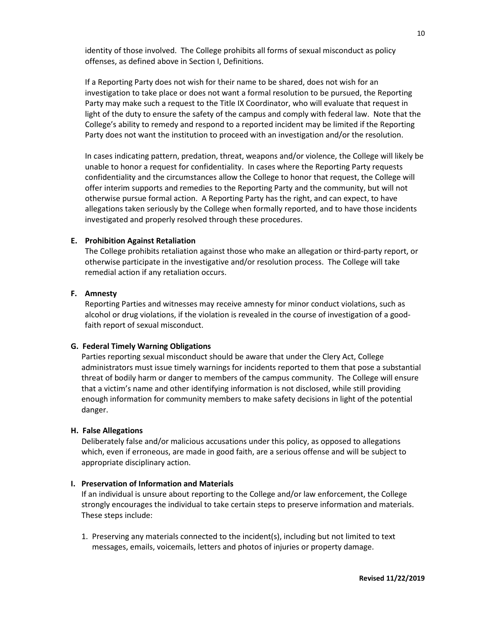identity of those involved. The College prohibits all forms of sexual misconduct as policy offenses, as defined above in Section I, Definitions.

If a Reporting Party does not wish for their name to be shared, does not wish for an investigation to take place or does not want a formal resolution to be pursued, the Reporting Party may make such a request to the Title IX Coordinator, who will evaluate that request in light of the duty to ensure the safety of the campus and comply with federal law. Note that the College's ability to remedy and respond to a reported incident may be limited if the Reporting Party does not want the institution to proceed with an investigation and/or the resolution.

In cases indicating pattern, predation, threat, weapons and/or violence, the College will likely be unable to honor a request for confidentiality. In cases where the Reporting Party requests confidentiality and the circumstances allow the College to honor that request, the College will offer interim supports and remedies to the Reporting Party and the community, but will not otherwise pursue formal action. A Reporting Party has the right, and can expect, to have allegations taken seriously by the College when formally reported, and to have those incidents investigated and properly resolved through these procedures.

#### **E. Prohibition Against Retaliation**

The College prohibits retaliation against those who make an allegation or third-party report, or otherwise participate in the investigative and/or resolution process. The College will take remedial action if any retaliation occurs.

# **F. Amnesty**

Reporting Parties and witnesses may receive amnesty for minor conduct violations, such as alcohol or drug violations, if the violation is revealed in the course of investigation of a goodfaith report of sexual misconduct.

#### **G. Federal Timely Warning Obligations**

Parties reporting sexual misconduct should be aware that under the Clery Act, College administrators must issue timely warnings for incidents reported to them that pose a substantial threat of bodily harm or danger to members of the campus community. The College will ensure that a victim's name and other identifying information is not disclosed, while still providing enough information for community members to make safety decisions in light of the potential danger.

#### **H. False Allegations**

Deliberately false and/or malicious accusations under this policy, as opposed to allegations which, even if erroneous, are made in good faith, are a serious offense and will be subject to appropriate disciplinary action.

#### **I. Preservation of Information and Materials**

If an individual is unsure about reporting to the College and/or law enforcement, the College strongly encourages the individual to take certain steps to preserve information and materials. These steps include:

1. Preserving any materials connected to the incident(s), including but not limited to text messages, emails, voicemails, letters and photos of injuries or property damage.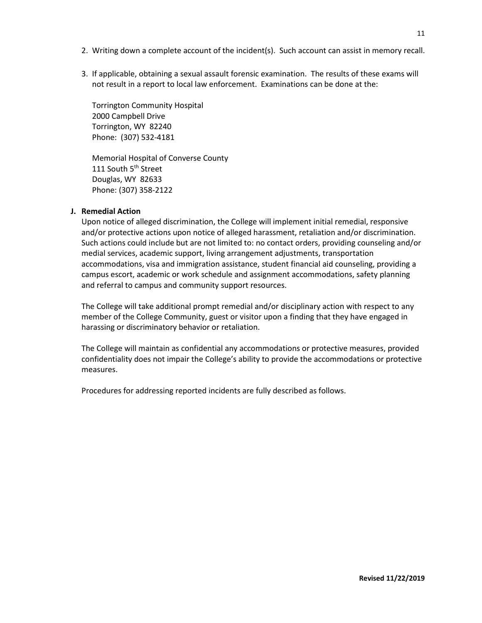- 2. Writing down a complete account of the incident(s). Such account can assist in memory recall.
- 3. If applicable, obtaining a sexual assault forensic examination. The results of these exams will not result in a report to local law enforcement. Examinations can be done at the:

Torrington Community Hospital 2000 Campbell Drive Torrington, WY 82240 Phone: (307) 532-4181

Memorial Hospital of Converse County 111 South 5<sup>th</sup> Street Douglas, WY 82633 Phone: (307) 358-2122

# **J. Remedial Action**

Upon notice of alleged discrimination, the College will implement initial remedial, responsive and/or protective actions upon notice of alleged harassment, retaliation and/or discrimination. Such actions could include but are not limited to: no contact orders, providing counseling and/or medial services, academic support, living arrangement adjustments, transportation accommodations, visa and immigration assistance, student financial aid counseling, providing a campus escort, academic or work schedule and assignment accommodations, safety planning and referral to campus and community support resources.

The College will take additional prompt remedial and/or disciplinary action with respect to any member of the College Community, guest or visitor upon a finding that they have engaged in harassing or discriminatory behavior or retaliation.

The College will maintain as confidential any accommodations or protective measures, provided confidentiality does not impair the College's ability to provide the accommodations or protective measures.

Procedures for addressing reported incidents are fully described as follows.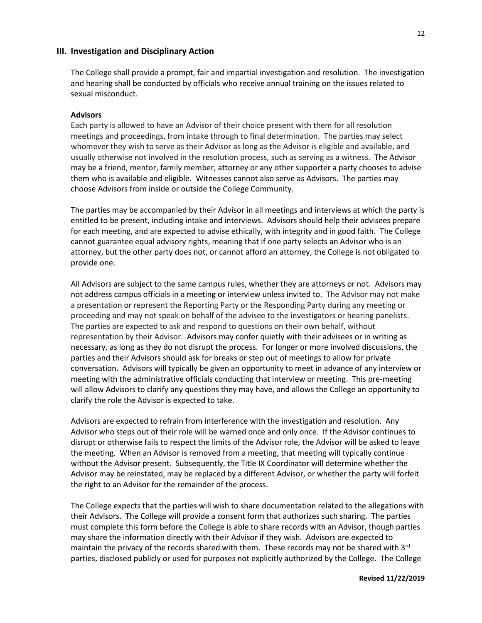#### **III. Investigation and Disciplinary Action**

The College shall provide a prompt, fair and impartial investigation and resolution. The investigation and hearing shall be conducted by officials who receive annual training on the issues related to sexual misconduct.

#### **Advisors**

Each party is allowed to have an Advisor of their choice present with them for all resolution meetings and proceedings, from intake through to final determination. The parties may select whomever they wish to serve as their Advisor as long as the Advisor is eligible and available, and usually otherwise not involved in the resolution process, such as serving as a witness. The Advisor may be a friend, mentor, family member, attorney or any other supporter a party chooses to advise them who is available and eligible. Witnesses cannot also serve as Advisors. The parties may choose Advisors from inside or outside the College Community.

The parties may be accompanied by their Advisor in all meetings and interviews at which the party is entitled to be present, including intake and interviews. Advisors should help their advisees prepare for each meeting, and are expected to advise ethically, with integrity and in good faith. The College cannot guarantee equal advisory rights, meaning that if one party selects an Advisor who is an attorney, but the other party does not, or cannot afford an attorney, the College is not obligated to provide one.

All Advisors are subject to the same campus rules, whether they are attorneys or not. Advisors may not address campus officials in a meeting or interview unless invited to. The Advisor may not make a presentation or represent the Reporting Party or the Responding Party during any meeting or proceeding and may not speak on behalf of the advisee to the investigators or hearing panelists. The parties are expected to ask and respond to questions on their own behalf, without representation by their Advisor. Advisors may confer quietly with their advisees or in writing as necessary, as long as they do not disrupt the process. For longer or more involved discussions, the parties and their Advisors should ask for breaks or step out of meetings to allow for private conversation. Advisors will typically be given an opportunity to meet in advance of any interview or meeting with the administrative officials conducting that interview or meeting. This pre-meeting will allow Advisors to clarify any questions they may have, and allows the College an opportunity to clarify the role the Advisor is expected to take.

Advisors are expected to refrain from interference with the investigation and resolution. Any Advisor who steps out of their role will be warned once and only once. If the Advisor continues to disrupt or otherwise fails to respect the limits of the Advisor role, the Advisor will be asked to leave the meeting. When an Advisor is removed from a meeting, that meeting will typically continue without the Advisor present. Subsequently, the Title IX Coordinator will determine whether the Advisor may be reinstated, may be replaced by a different Advisor, or whether the party will forfeit the right to an Advisor for the remainder of the process.

The College expects that the parties will wish to share documentation related to the allegations with their Advisors. The College will provide a consent form that authorizes such sharing. The parties must complete this form before the College is able to share records with an Advisor, though parties may share the information directly with their Advisor if they wish. Advisors are expected to maintain the privacy of the records shared with them. These records may not be shared with 3<sup>rd</sup> parties, disclosed publicly or used for purposes not explicitly authorized by the College. The College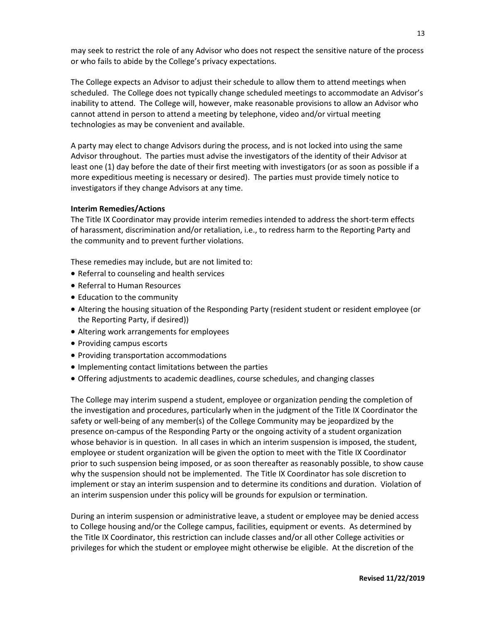may seek to restrict the role of any Advisor who does not respect the sensitive nature of the process or who fails to abide by the College's privacy expectations.

The College expects an Advisor to adjust their schedule to allow them to attend meetings when scheduled. The College does not typically change scheduled meetings to accommodate an Advisor's inability to attend. The College will, however, make reasonable provisions to allow an Advisor who cannot attend in person to attend a meeting by telephone, video and/or virtual meeting technologies as may be convenient and available.

A party may elect to change Advisors during the process, and is not locked into using the same Advisor throughout. The parties must advise the investigators of the identity of their Advisor at least one (1) day before the date of their first meeting with investigators (or as soon as possible if a more expeditious meeting is necessary or desired). The parties must provide timely notice to investigators if they change Advisors at any time.

# **Interim Remedies/Actions**

The Title IX Coordinator may provide interim remedies intended to address the short-term effects of harassment, discrimination and/or retaliation, i.e., to redress harm to the Reporting Party and the community and to prevent further violations.

These remedies may include, but are not limited to:

- Referral to counseling and health services
- Referral to Human Resources
- Education to the community
- Altering the housing situation of the Responding Party (resident student or resident employee (or the Reporting Party, if desired))
- Altering work arrangements for employees
- Providing campus escorts
- Providing transportation accommodations
- Implementing contact limitations between the parties
- Offering adjustments to academic deadlines, course schedules, and changing classes

The College may interim suspend a student, employee or organization pending the completion of the investigation and procedures, particularly when in the judgment of the Title IX Coordinator the safety or well-being of any member(s) of the College Community may be jeopardized by the presence on-campus of the Responding Party or the ongoing activity of a student organization whose behavior is in question. In all cases in which an interim suspension is imposed, the student, employee or student organization will be given the option to meet with the Title IX Coordinator prior to such suspension being imposed, or as soon thereafter as reasonably possible, to show cause why the suspension should not be implemented. The Title IX Coordinator has sole discretion to implement or stay an interim suspension and to determine its conditions and duration. Violation of an interim suspension under this policy will be grounds for expulsion or termination.

During an interim suspension or administrative leave, a student or employee may be denied access to College housing and/or the College campus, facilities, equipment or events. As determined by the Title IX Coordinator, this restriction can include classes and/or all other College activities or privileges for which the student or employee might otherwise be eligible. At the discretion of the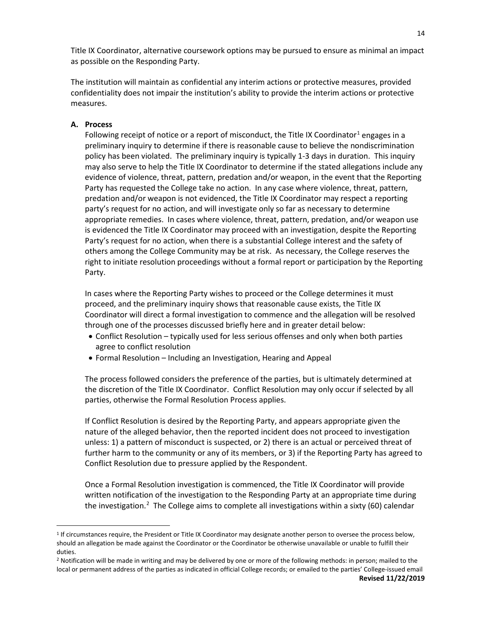Title IX Coordinator, alternative coursework options may be pursued to ensure as minimal an impact as possible on the Responding Party.

The institution will maintain as confidential any interim actions or protective measures, provided confidentiality does not impair the institution's ability to provide the interim actions or protective measures.

# **A. Process**

 $\overline{a}$ 

Following receipt of notice or a report of misconduct, the Title IX Coordinator<sup>[1](#page-13-0)</sup> engages in a preliminary inquiry to determine if there is reasonable cause to believe the nondiscrimination policy has been violated. The preliminary inquiry is typically 1-3 days in duration. This inquiry may also serve to help the Title IX Coordinator to determine if the stated allegations include any evidence of violence, threat, pattern, predation and/or weapon, in the event that the Reporting Party has requested the College take no action. In any case where violence, threat, pattern, predation and/or weapon is not evidenced, the Title IX Coordinator may respect a reporting party's request for no action, and will investigate only so far as necessary to determine appropriate remedies. In cases where violence, threat, pattern, predation, and/or weapon use is evidenced the Title IX Coordinator may proceed with an investigation, despite the Reporting Party's request for no action, when there is a substantial College interest and the safety of others among the College Community may be at risk. As necessary, the College reserves the right to initiate resolution proceedings without a formal report or participation by the Reporting Party.

In cases where the Reporting Party wishes to proceed or the College determines it must proceed, and the preliminary inquiry shows that reasonable cause exists, the Title IX Coordinator will direct a formal investigation to commence and the allegation will be resolved through one of the processes discussed briefly here and in greater detail below:

- Conflict Resolution typically used for less serious offenses and only when both parties agree to conflict resolution
- Formal Resolution Including an Investigation, Hearing and Appeal

The process followed considers the preference of the parties, but is ultimately determined at the discretion of the Title IX Coordinator. Conflict Resolution may only occur if selected by all parties, otherwise the Formal Resolution Process applies.

If Conflict Resolution is desired by the Reporting Party, and appears appropriate given the nature of the alleged behavior, then the reported incident does not proceed to investigation unless: 1) a pattern of misconduct is suspected, or 2) there is an actual or perceived threat of further harm to the community or any of its members, or 3) if the Reporting Party has agreed to Conflict Resolution due to pressure applied by the Respondent.

Once a Formal Resolution investigation is commenced, the Title IX Coordinator will provide written notification of the investigation to the Responding Party at an appropriate time during the investigation.<sup>[2](#page-13-1)</sup> The College aims to complete all investigations within a sixty (60) calendar

<span id="page-13-0"></span><sup>1</sup> If circumstances require, the President or Title IX Coordinator may designate another person to oversee the process below, should an allegation be made against the Coordinator or the Coordinator be otherwise unavailable or unable to fulfill their duties.

<span id="page-13-1"></span><sup>&</sup>lt;sup>2</sup> Notification will be made in writing and may be delivered by one or more of the following methods: in person; mailed to the local or permanent address of the parties as indicated in official College records; or emailed to the parties' College-issued email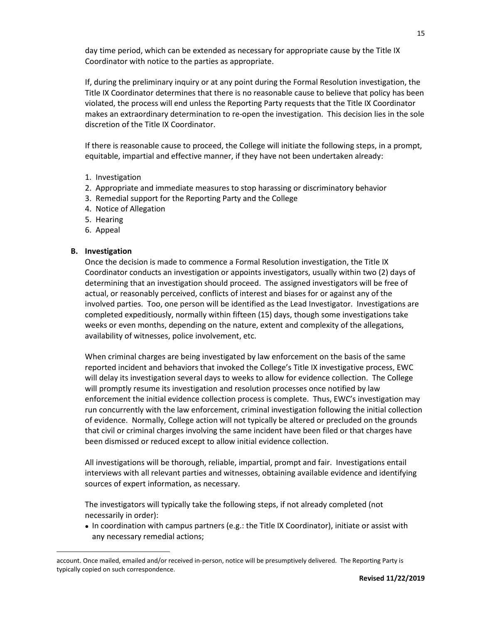day time period, which can be extended as necessary for appropriate cause by the Title IX Coordinator with notice to the parties as appropriate.

If, during the preliminary inquiry or at any point during the Formal Resolution investigation, the Title IX Coordinator determines that there is no reasonable cause to believe that policy has been violated, the process will end unless the Reporting Party requests that the Title IX Coordinator makes an extraordinary determination to re-open the investigation. This decision lies in the sole discretion of the Title IX Coordinator.

If there is reasonable cause to proceed, the College will initiate the following steps, in a prompt, equitable, impartial and effective manner, if they have not been undertaken already:

- 1. Investigation
- 2. Appropriate and immediate measures to stop harassing or discriminatory behavior
- 3. Remedial support for the Reporting Party and the College
- 4. Notice of Allegation
- 5. Hearing
- 6. Appeal

# **B. Investigation**

 $\overline{a}$ 

Once the decision is made to commence a Formal Resolution investigation, the Title IX Coordinator conducts an investigation or appoints investigators, usually within two (2) days of determining that an investigation should proceed. The assigned investigators will be free of actual, or reasonably perceived, conflicts of interest and biases for or against any of the involved parties. Too, one person will be identified as the Lead Investigator. Investigations are completed expeditiously, normally within fifteen (15) days, though some investigations take weeks or even months, depending on the nature, extent and complexity of the allegations, availability of witnesses, police involvement, etc.

When criminal charges are being investigated by law enforcement on the basis of the same reported incident and behaviors that invoked the College's Title IX investigative process, EWC will delay its investigation several days to weeks to allow for evidence collection. The College will promptly resume its investigation and resolution processes once notified by law enforcement the initial evidence collection process is complete. Thus, EWC's investigation may run concurrently with the law enforcement, criminal investigation following the initial collection of evidence. Normally, College action will not typically be altered or precluded on the grounds that civil or criminal charges involving the same incident have been filed or that charges have been dismissed or reduced except to allow initial evidence collection.

All investigations will be thorough, reliable, impartial, prompt and fair. Investigations entail interviews with all relevant parties and witnesses, obtaining available evidence and identifying sources of expert information, as necessary.

The investigators will typically take the following steps, if not already completed (not necessarily in order):

• In coordination with campus partners (e.g.: the Title IX Coordinator), initiate or assist with any necessary remedial actions;

account. Once mailed, emailed and/or received in-person, notice will be presumptively delivered. The Reporting Party is typically copied on such correspondence.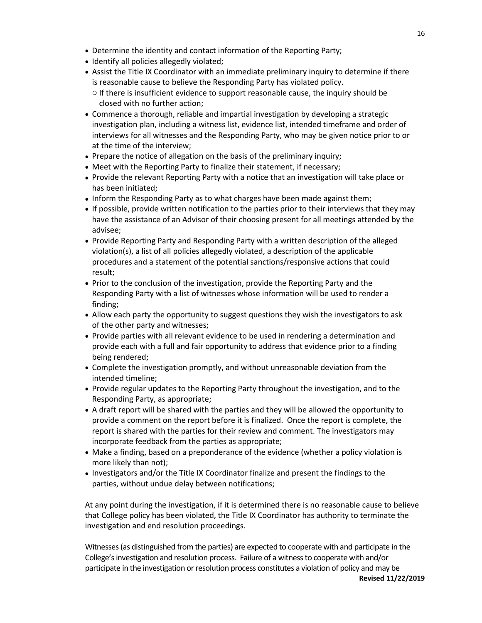- Determine the identity and contact information of the Reporting Party;
- Identify all policies allegedly violated;
- Assist the Title IX Coordinator with an immediate preliminary inquiry to determine if there is reasonable cause to believe the Responding Party has violated policy.
	- o If there is insufficient evidence to support reasonable cause, the inquiry should be closed with no further action;
- Commence a thorough, reliable and impartial investigation by developing a strategic investigation plan, including a witness list, evidence list, intended timeframe and order of interviews for all witnesses and the Responding Party, who may be given notice prior to or at the time of the interview;
- Prepare the notice of allegation on the basis of the preliminary inquiry;
- Meet with the Reporting Party to finalize their statement, if necessary;
- Provide the relevant Reporting Party with a notice that an investigation will take place or has been initiated;
- Inform the Responding Party as to what charges have been made against them;
- If possible, provide written notification to the parties prior to their interviews that they may have the assistance of an Advisor of their choosing present for all meetings attended by the advisee;
- Provide Reporting Party and Responding Party with a written description of the alleged violation(s), a list of all policies allegedly violated, a description of the applicable procedures and a statement of the potential sanctions/responsive actions that could result;
- Prior to the conclusion of the investigation, provide the Reporting Party and the Responding Party with a list of witnesses whose information will be used to render a finding;
- Allow each party the opportunity to suggest questions they wish the investigators to ask of the other party and witnesses;
- Provide parties with all relevant evidence to be used in rendering a determination and provide each with a full and fair opportunity to address that evidence prior to a finding being rendered;
- Complete the investigation promptly, and without unreasonable deviation from the intended timeline;
- Provide regular updates to the Reporting Party throughout the investigation, and to the Responding Party, as appropriate;
- A draft report will be shared with the parties and they will be allowed the opportunity to provide a comment on the report before it is finalized. Once the report is complete, the report is shared with the parties for their review and comment. The investigators may incorporate feedback from the parties as appropriate;
- Make a finding, based on a preponderance of the evidence (whether a policy violation is more likely than not);
- Investigators and/or the Title IX Coordinator finalize and present the findings to the parties, without undue delay between notifications;

At any point during the investigation, if it is determined there is no reasonable cause to believe that College policy has been violated, the Title IX Coordinator has authority to terminate the investigation and end resolution proceedings.

**Revised 11/22/2019** Witnesses (as distinguished from the parties) are expected to cooperate with and participate in the College's investigation and resolution process. Failure of a witness to cooperate with and/or participate in the investigation or resolution process constitutes a violation of policy and may be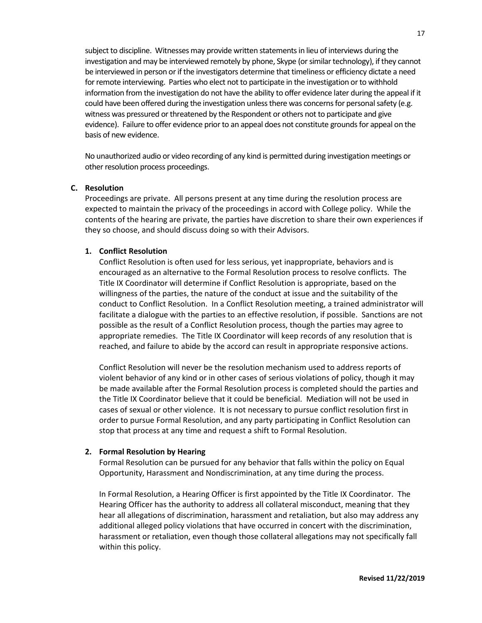subject to discipline. Witnesses may provide written statements in lieu of interviews during the investigation and may be interviewed remotely by phone, Skype (or similar technology), if they cannot be interviewed in person or if the investigators determine that timeliness or efficiency dictate a need for remote interviewing. Parties who elect not to participate in the investigation or to withhold information from the investigation do not have the ability to offer evidence later during the appeal if it could have been offered during the investigation unless there was concerns for personal safety (e.g. witness was pressured or threatened by the Respondent or others not to participate and give evidence). Failure to offer evidence prior to an appeal does not constitute grounds for appeal on the basis of new evidence.

No unauthorized audio or video recording of any kind is permitted during investigation meetings or other resolution process proceedings.

# **C. Resolution**

Proceedings are private. All persons present at any time during the resolution process are expected to maintain the privacy of the proceedings in accord with College policy. While the contents of the hearing are private, the parties have discretion to share their own experiences if they so choose, and should discuss doing so with their Advisors.

#### **1. Conflict Resolution**

Conflict Resolution is often used for less serious, yet inappropriate, behaviors and is encouraged as an alternative to the Formal Resolution process to resolve conflicts. The Title IX Coordinator will determine if Conflict Resolution is appropriate, based on the willingness of the parties, the nature of the conduct at issue and the suitability of the conduct to Conflict Resolution. In a Conflict Resolution meeting, a trained administrator will facilitate a dialogue with the parties to an effective resolution, if possible. Sanctions are not possible as the result of a Conflict Resolution process, though the parties may agree to appropriate remedies. The Title IX Coordinator will keep records of any resolution that is reached, and failure to abide by the accord can result in appropriate responsive actions.

Conflict Resolution will never be the resolution mechanism used to address reports of violent behavior of any kind or in other cases of serious violations of policy, though it may be made available after the Formal Resolution process is completed should the parties and the Title IX Coordinator believe that it could be beneficial. Mediation will not be used in cases of sexual or other violence. It is not necessary to pursue conflict resolution first in order to pursue Formal Resolution, and any party participating in Conflict Resolution can stop that process at any time and request a shift to Formal Resolution.

#### **2. Formal Resolution by Hearing**

Formal Resolution can be pursued for any behavior that falls within the policy on Equal Opportunity, Harassment and Nondiscrimination, at any time during the process.

In Formal Resolution, a Hearing Officer is first appointed by the Title IX Coordinator. The Hearing Officer has the authority to address all collateral misconduct, meaning that they hear all allegations of discrimination, harassment and retaliation, but also may address any additional alleged policy violations that have occurred in concert with the discrimination, harassment or retaliation, even though those collateral allegations may not specifically fall within this policy.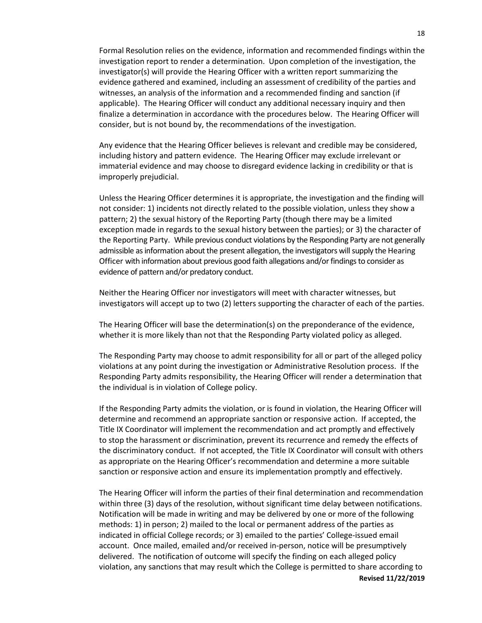Formal Resolution relies on the evidence, information and recommended findings within the investigation report to render a determination. Upon completion of the investigation, the investigator(s) will provide the Hearing Officer with a written report summarizing the evidence gathered and examined, including an assessment of credibility of the parties and witnesses, an analysis of the information and a recommended finding and sanction (if applicable). The Hearing Officer will conduct any additional necessary inquiry and then finalize a determination in accordance with the procedures below. The Hearing Officer will consider, but is not bound by, the recommendations of the investigation.

Any evidence that the Hearing Officer believes is relevant and credible may be considered, including history and pattern evidence. The Hearing Officer may exclude irrelevant or immaterial evidence and may choose to disregard evidence lacking in credibility or that is improperly prejudicial.

Unless the Hearing Officer determines it is appropriate, the investigation and the finding will not consider: 1) incidents not directly related to the possible violation, unless they show a pattern; 2) the sexual history of the Reporting Party (though there may be a limited exception made in regards to the sexual history between the parties); or 3) the character of the Reporting Party. While previous conduct violations by the Responding Party are not generally admissible as information about the present allegation, the investigators will supply the Hearing Officer with information about previous good faith allegations and/or findings to consider as evidence of pattern and/or predatory conduct.

Neither the Hearing Officer nor investigators will meet with character witnesses, but investigators will accept up to two (2) letters supporting the character of each of the parties.

The Hearing Officer will base the determination(s) on the preponderance of the evidence, whether it is more likely than not that the Responding Party violated policy as alleged.

The Responding Party may choose to admit responsibility for all or part of the alleged policy violations at any point during the investigation or Administrative Resolution process. If the Responding Party admits responsibility, the Hearing Officer will render a determination that the individual is in violation of College policy.

If the Responding Party admits the violation, or is found in violation, the Hearing Officer will determine and recommend an appropriate sanction or responsive action. If accepted, the Title IX Coordinator will implement the recommendation and act promptly and effectively to stop the harassment or discrimination, prevent its recurrence and remedy the effects of the discriminatory conduct. If not accepted, the Title IX Coordinator will consult with others as appropriate on the Hearing Officer's recommendation and determine a more suitable sanction or responsive action and ensure its implementation promptly and effectively.

**Revised 11/22/2019** The Hearing Officer will inform the parties of their final determination and recommendation within three (3) days of the resolution, without significant time delay between notifications. Notification will be made in writing and may be delivered by one or more of the following methods: 1) in person; 2) mailed to the local or permanent address of the parties as indicated in official College records; or 3) emailed to the parties' College-issued email account. Once mailed, emailed and/or received in-person, notice will be presumptively delivered. The notification of outcome will specify the finding on each alleged policy violation, any sanctions that may result which the College is permitted to share according to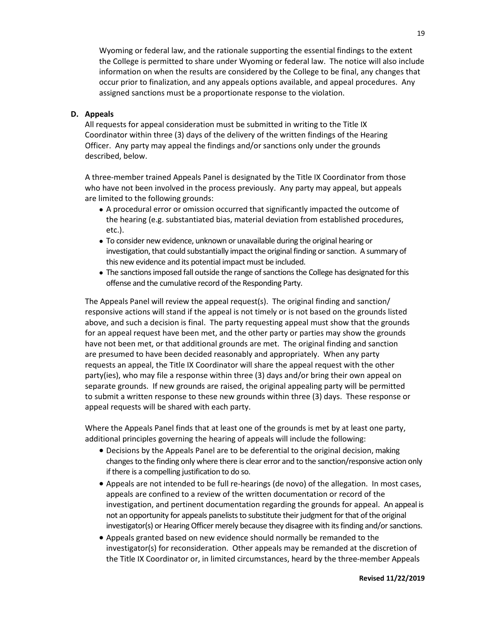Wyoming or federal law, and the rationale supporting the essential findings to the extent the College is permitted to share under Wyoming or federal law. The notice will also include information on when the results are considered by the College to be final, any changes that occur prior to finalization, and any appeals options available, and appeal procedures. Any assigned sanctions must be a proportionate response to the violation.

# **D. Appeals**

All requests for appeal consideration must be submitted in writing to the Title IX Coordinator within three (3) days of the delivery of the written findings of the Hearing Officer. Any party may appeal the findings and/or sanctions only under the grounds described, below.

A three-member trained Appeals Panel is designated by the Title IX Coordinator from those who have not been involved in the process previously. Any party may appeal, but appeals are limited to the following grounds:

- A procedural error or omission occurred that significantly impacted the outcome of the hearing (e.g. substantiated bias, material deviation from established procedures, etc.).
- To consider new evidence, unknown or unavailable during the original hearing or investigation, that could substantially impact the original finding or sanction. A summary of this new evidence and its potential impact must be included.
- The sanctions imposed fall outside the range of sanctions the College has designated for this offense and the cumulative record of the Responding Party.

The Appeals Panel will review the appeal request(s). The original finding and sanction/ responsive actions will stand if the appeal is not timely or is not based on the grounds listed above, and such a decision is final. The party requesting appeal must show that the grounds for an appeal request have been met, and the other party or parties may show the grounds have not been met, or that additional grounds are met. The original finding and sanction are presumed to have been decided reasonably and appropriately. When any party requests an appeal, the Title IX Coordinator will share the appeal request with the other party(ies), who may file a response within three (3) days and/or bring their own appeal on separate grounds. If new grounds are raised, the original appealing party will be permitted to submit a written response to these new grounds within three (3) days. These response or appeal requests will be shared with each party.

Where the Appeals Panel finds that at least one of the grounds is met by at least one party, additional principles governing the hearing of appeals will include the following:

- Decisions by the Appeals Panel are to be deferential to the original decision, making changes to the finding only where there is clear error and to the sanction/responsive action only if there is a compelling justification to do so.
- Appeals are not intended to be full re-hearings (de novo) of the allegation. In most cases, appeals are confined to a review of the written documentation or record of the investigation, and pertinent documentation regarding the grounds for appeal. An appeal is not an opportunity for appeals panelists to substitute their judgment for that of the original investigator(s) or Hearing Officer merely because they disagree with its finding and/or sanctions.
- Appeals granted based on new evidence should normally be remanded to the investigator(s) for reconsideration. Other appeals may be remanded at the discretion of the Title IX Coordinator or, in limited circumstances, heard by the three-member Appeals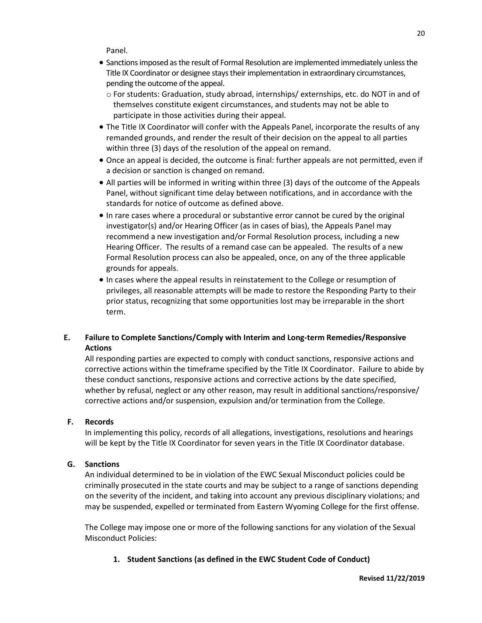Panel.

- Sanctions imposed as the result of Formal Resolution are implemented immediately unless the Title IX Coordinator or designee stays their implementation in extraordinary circumstances, pending the outcome of the appeal.
	- o For students: Graduation, study abroad, internships/ externships, etc. do NOT in and of themselves constitute exigent circumstances, and students may not be able to participate in those activities during their appeal.
- The Title IX Coordinator will confer with the Appeals Panel, incorporate the results of any remanded grounds, and render the result of their decision on the appeal to all parties within three (3) days of the resolution of the appeal on remand.
- Once an appeal is decided, the outcome is final: further appeals are not permitted, even if a decision or sanction is changed on remand.
- All parties will be informed in writing within three (3) days of the outcome of the Appeals Panel, without significant time delay between notifications, and in accordance with the standards for notice of outcome as defined above.
- In rare cases where a procedural or substantive error cannot be cured by the original investigator(s) and/or Hearing Officer (as in cases of bias), the Appeals Panel may recommend a new investigation and/or Formal Resolution process, including a new Hearing Officer. The results of a remand case can be appealed. The results of a new Formal Resolution process can also be appealed, once, on any of the three applicable grounds for appeals.
- In cases where the appeal results in reinstatement to the College or resumption of privileges, all reasonable attempts will be made to restore the Responding Party to their prior status, recognizing that some opportunities lost may be irreparable in the short term.

# **E. Failure to Complete Sanctions/Comply with Interim and Long-term Remedies/Responsive Actions**

All responding parties are expected to comply with conduct sanctions, responsive actions and corrective actions within the timeframe specified by the Title IX Coordinator. Failure to abide by these conduct sanctions, responsive actions and corrective actions by the date specified, whether by refusal, neglect or any other reason, may result in additional sanctions/responsive/ corrective actions and/or suspension, expulsion and/or termination from the College.

# **F. Records**

In implementing this policy, records of all allegations, investigations, resolutions and hearings will be kept by the Title IX Coordinator for seven years in the Title IX Coordinator database.

# **G. Sanctions**

An individual determined to be in violation of the EWC Sexual Misconduct policies could be criminally prosecuted in the state courts and may be subject to a range of sanctions depending on the severity of the incident, and taking into account any previous disciplinary violations; and may be suspended, expelled or terminated from Eastern Wyoming College for the first offense.

The College may impose one or more of the following sanctions for any violation of the Sexual Misconduct Policies:

# **1. Student Sanctions (as defined in the EWC Student Code of Conduct)**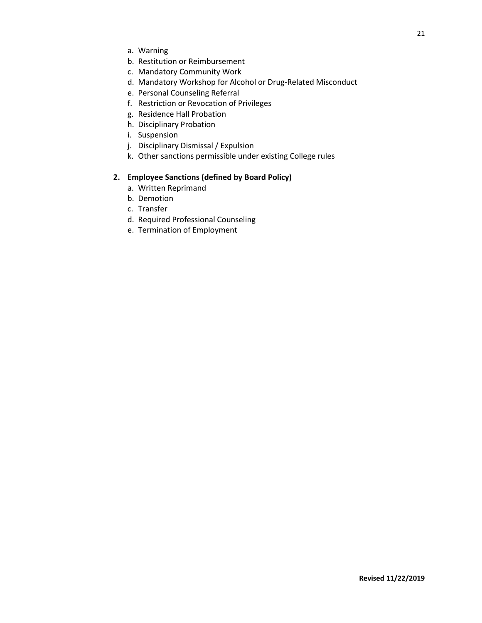- a. Warning
- b. Restitution or Reimbursement
- c. Mandatory Community Work
- d. Mandatory Workshop for Alcohol or Drug-Related Misconduct
- e. Personal Counseling Referral
- f. Restriction or Revocation of Privileges
- g. Residence Hall Probation
- h. Disciplinary Probation
- i. Suspension
- j. Disciplinary Dismissal / Expulsion
- k. Other sanctions permissible under existing College rules

# **2. Employee Sanctions (defined by Board Policy)**

- a. Written Reprimand
- b. Demotion
- c. Transfer
- d. Required Professional Counseling
- e. Termination of Employment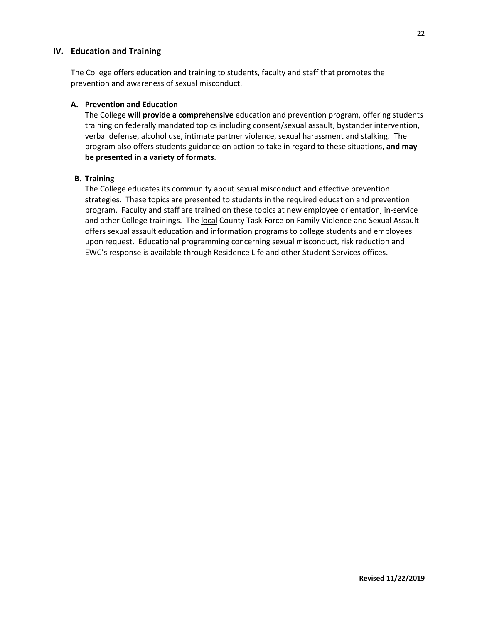# **IV. Education and Training**

The College offers education and training to students, faculty and staff that promotes the prevention and awareness of sexual misconduct.

# **A. Prevention and Education**

The College **will provide a comprehensive** education and prevention program, offering students training on federally mandated topics including consent/sexual assault, bystander intervention, verbal defense, alcohol use, intimate partner violence, sexual harassment and stalking. The program also offers students guidance on action to take in regard to these situations, **and may be presented in a variety of formats**.

## **B. Training**

The College educates its community about sexual misconduct and effective prevention strategies. These topics are presented to students in the required education and prevention program. Faculty and staff are trained on these topics at new employee orientation, in-service and other College trainings. The local County Task Force on Family Violence and Sexual Assault offers sexual assault education and information programs to college students and employees upon request. Educational programming concerning sexual misconduct, risk reduction and EWC's response is available through Residence Life and other Student Services offices.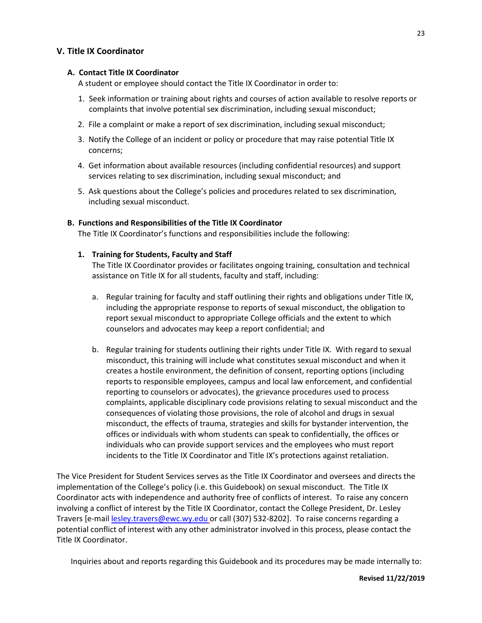# **V. Title IX Coordinator**

# **A. Contact Title IX Coordinator**

A student or employee should contact the Title IX Coordinator in order to:

- 1. Seek information or training about rights and courses of action available to resolve reports or complaints that involve potential sex discrimination, including sexual misconduct;
- 2. File a complaint or make a report of sex discrimination, including sexual misconduct;
- 3. Notify the College of an incident or policy or procedure that may raise potential Title IX concerns;
- 4. Get information about available resources (including confidential resources) and support services relating to sex discrimination, including sexual misconduct; and
- 5. Ask questions about the College's policies and procedures related to sex discrimination, including sexual misconduct.

# **B. Functions and Responsibilities of the Title IX Coordinator**

The Title IX Coordinator's functions and responsibilities include the following:

# **1. Training for Students, Faculty and Staff**

The Title IX Coordinator provides or facilitates ongoing training, consultation and technical assistance on Title IX for all students, faculty and staff, including:

- a. Regular training for faculty and staff outlining their rights and obligations under Title IX, including the appropriate response to reports of sexual misconduct, the obligation to report sexual misconduct to appropriate College officials and the extent to which counselors and advocates may keep a report confidential; and
- b. Regular training for students outlining their rights under Title IX. With regard to sexual misconduct, this training will include what constitutes sexual misconduct and when it creates a hostile environment, the definition of consent, reporting options (including reports to responsible employees, campus and local law enforcement, and confidential reporting to counselors or advocates), the grievance procedures used to process complaints, applicable disciplinary code provisions relating to sexual misconduct and the consequences of violating those provisions, the role of alcohol and drugs in sexual misconduct, the effects of trauma, strategies and skills for bystander intervention, the offices or individuals with whom students can speak to confidentially, the offices or individuals who can provide support services and the employees who must report incidents to the Title IX Coordinator and Title IX's protections against retaliation.

The Vice President for Student Services serves as the Title IX Coordinator and oversees and directs the implementation of the College's policy (i.e. this Guidebook) on sexual misconduct. The Title IX Coordinator acts with independence and authority free of conflicts of interest. To raise any concern involving a conflict of interest by the Title IX Coordinator, contact the College President, Dr. Lesley Travers [e-mail [lesley.travers@ewc.wy.edu](mailto:lesley.travers@ewc.wy.edu) or call (307) 532-8202]. To raise concerns regarding a potential conflict of interest with any other administrator involved in this process, please contact the Title IX Coordinator.

Inquiries about and reports regarding this Guidebook and its procedures may be made internally to: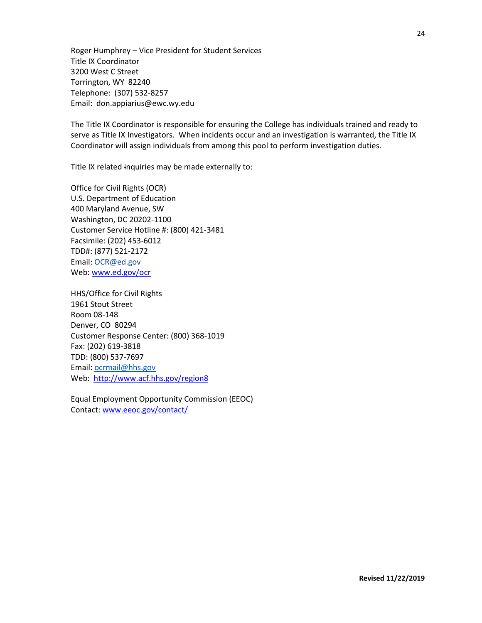Roger Humphrey – Vice President for Student Services Title IX Coordinator 3200 West C Street Torrington, WY 82240 Telephone: (307) 532-8257 Email: don.appiarius@ewc.wy.edu

The Title IX Coordinator is responsible for ensuring the College has individuals trained and ready to serve as Title IX Investigators. When incidents occur and an investigation is warranted, the Title IX Coordinator will assign individuals from among this pool to perform investigation duties.

Title IX related inquiries may be made externally to:

Office for Civil Rights (OCR) U.S. Department of Education 400 Maryland Avenue, SW Washington, DC 20202-1100 Customer Service Hotline #: (800) 421-3481 Facsimile: (202) 453-6012 TDD#: (877) 521-2172 Email: [OCR@ed.gov](mailto:OCR@ed.gov) Web: [www.ed.gov/ocr](http://www.ed.gov/ocr)

HHS/Office for Civil Rights 1961 Stout Street Room 08-148 Denver, CO 80294 Customer Response Center: (800) 368-1019 Fax: (202) 619-3818 TDD: (800) 537-7697 Email: [ocrmail@hhs.gov](mailto:ocrmail@hhs.gov) Web: <http://www.acf.hhs.gov/region8>

Equal Employment Opportunity Commission (EEOC) Contact: [www.eeoc.gov/contact/](http://www.eeoc.gov/contact/)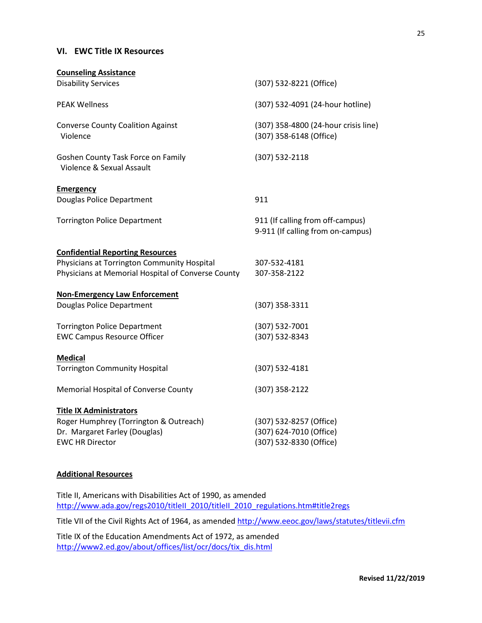# **VI. EWC Title IX Resources**

| <b>Counseling Assistance</b>                                    |                                                                       |
|-----------------------------------------------------------------|-----------------------------------------------------------------------|
| <b>Disability Services</b>                                      | (307) 532-8221 (Office)                                               |
| <b>PEAK Wellness</b>                                            | (307) 532-4091 (24-hour hotline)                                      |
| <b>Converse County Coalition Against</b><br>Violence            | (307) 358-4800 (24-hour crisis line)<br>(307) 358-6148 (Office)       |
| Goshen County Task Force on Family<br>Violence & Sexual Assault | (307) 532-2118                                                        |
| <b>Emergency</b>                                                |                                                                       |
| Douglas Police Department                                       | 911                                                                   |
| <b>Torrington Police Department</b>                             | 911 (If calling from off-campus)<br>9-911 (If calling from on-campus) |
| <b>Confidential Reporting Resources</b>                         |                                                                       |
| Physicians at Torrington Community Hospital                     | 307-532-4181                                                          |
| Physicians at Memorial Hospital of Converse County              | 307-358-2122                                                          |
| <b>Non-Emergency Law Enforcement</b>                            |                                                                       |
| Douglas Police Department                                       | (307) 358-3311                                                        |
| <b>Torrington Police Department</b>                             | (307) 532-7001                                                        |
| <b>EWC Campus Resource Officer</b>                              | (307) 532-8343                                                        |
| <b>Medical</b>                                                  |                                                                       |
| <b>Torrington Community Hospital</b>                            | (307) 532-4181                                                        |
| Memorial Hospital of Converse County                            | (307) 358-2122                                                        |
| <b>Title IX Administrators</b>                                  |                                                                       |
| Roger Humphrey (Torrington & Outreach)                          | (307) 532-8257 (Office)                                               |
| Dr. Margaret Farley (Douglas)                                   | (307) 624-7010 (Office)                                               |
| <b>EWC HR Director</b>                                          | (307) 532-8330 (Office)                                               |
|                                                                 |                                                                       |

# **Additional Resources**

Title II, Americans with Disabilities Act of 1990, as amended [http://www.ada.gov/regs2010/titleII\\_2010/titleII\\_2010\\_regulations.htm#title2regs](http://www.ada.gov/regs2010/titleII_2010/titleII_2010_regulations.htm#title2regs)

Title VII of the Civil Rights Act of 1964, as amende[d http://www.eeoc.gov/laws/statutes/titlevii.cfm](http://www.eeoc.gov/laws/statutes/titlevii.cfm)

Title IX of the Education Amendments Act of 1972, as amended [http://www2.ed.gov/about/offices/list/ocr/docs/tix\\_dis.html](http://www2.ed.gov/about/offices/list/ocr/docs/tix_dis.html)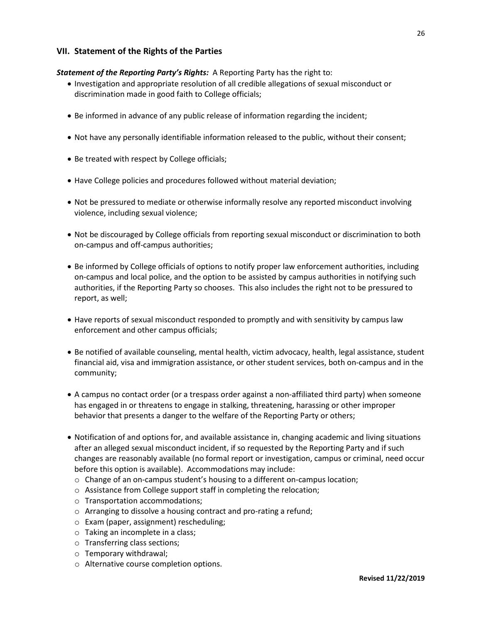# **VII. Statement of the Rights of the Parties**

# *Statement of the Reporting Party's Rights:* A Reporting Party has the right to:

- Investigation and appropriate resolution of all credible allegations of sexual misconduct or discrimination made in good faith to College officials;
- Be informed in advance of any public release of information regarding the incident;
- Not have any personally identifiable information released to the public, without their consent;
- Be treated with respect by College officials;
- Have College policies and procedures followed without material deviation;
- Not be pressured to mediate or otherwise informally resolve any reported misconduct involving violence, including sexual violence;
- Not be discouraged by College officials from reporting sexual misconduct or discrimination to both on-campus and off-campus authorities;
- Be informed by College officials of options to notify proper law enforcement authorities, including on-campus and local police, and the option to be assisted by campus authorities in notifying such authorities, if the Reporting Party so chooses. This also includes the right not to be pressured to report, as well;
- Have reports of sexual misconduct responded to promptly and with sensitivity by campus law enforcement and other campus officials;
- Be notified of available counseling, mental health, victim advocacy, health, legal assistance, student financial aid, visa and immigration assistance, or other student services, both on-campus and in the community;
- A campus no contact order (or a trespass order against a non-affiliated third party) when someone has engaged in or threatens to engage in stalking, threatening, harassing or other improper behavior that presents a danger to the welfare of the Reporting Party or others;
- Notification of and options for, and available assistance in, changing academic and living situations after an alleged sexual misconduct incident, if so requested by the Reporting Party and if such changes are reasonably available (no formal report or investigation, campus or criminal, need occur before this option is available). Accommodations may include:
	- o Change of an on-campus student's housing to a different on-campus location;
	- o Assistance from College support staff in completing the relocation;
	- o Transportation accommodations;
	- o Arranging to dissolve a housing contract and pro-rating a refund;
	- o Exam (paper, assignment) rescheduling;
	- o Taking an incomplete in a class;
	- o Transferring class sections;
	- o Temporary withdrawal;
	- o Alternative course completion options.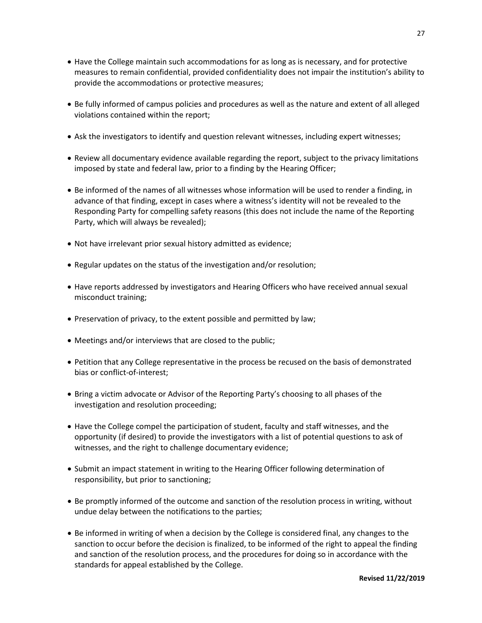- Have the College maintain such accommodations for as long as is necessary, and for protective measures to remain confidential, provided confidentiality does not impair the institution's ability to provide the accommodations or protective measures;
- Be fully informed of campus policies and procedures as well as the nature and extent of all alleged violations contained within the report;
- Ask the investigators to identify and question relevant witnesses, including expert witnesses;
- Review all documentary evidence available regarding the report, subject to the privacy limitations imposed by state and federal law, prior to a finding by the Hearing Officer;
- Be informed of the names of all witnesses whose information will be used to render a finding, in advance of that finding, except in cases where a witness's identity will not be revealed to the Responding Party for compelling safety reasons (this does not include the name of the Reporting Party, which will always be revealed);
- Not have irrelevant prior sexual history admitted as evidence;
- Regular updates on the status of the investigation and/or resolution;
- Have reports addressed by investigators and Hearing Officers who have received annual sexual misconduct training;
- Preservation of privacy, to the extent possible and permitted by law;
- Meetings and/or interviews that are closed to the public;
- Petition that any College representative in the process be recused on the basis of demonstrated bias or conflict-of-interest;
- Bring a victim advocate or Advisor of the Reporting Party's choosing to all phases of the investigation and resolution proceeding;
- Have the College compel the participation of student, faculty and staff witnesses, and the opportunity (if desired) to provide the investigators with a list of potential questions to ask of witnesses, and the right to challenge documentary evidence;
- Submit an impact statement in writing to the Hearing Officer following determination of responsibility, but prior to sanctioning;
- Be promptly informed of the outcome and sanction of the resolution process in writing, without undue delay between the notifications to the parties;
- Be informed in writing of when a decision by the College is considered final, any changes to the sanction to occur before the decision is finalized, to be informed of the right to appeal the finding and sanction of the resolution process, and the procedures for doing so in accordance with the standards for appeal established by the College.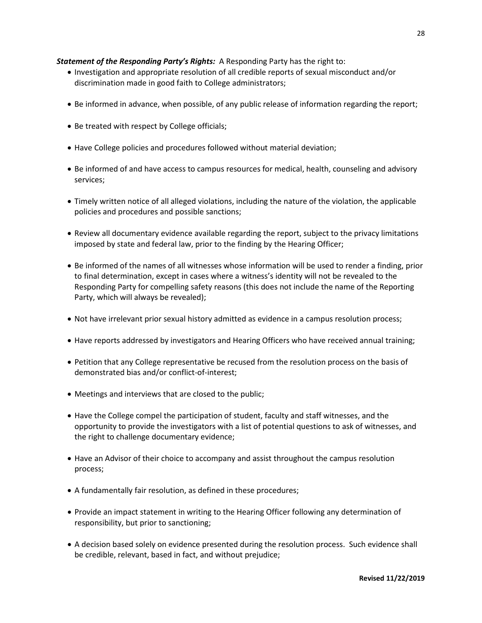# *Statement of the Responding Party's Rights:* A Responding Party has the right to:

- Investigation and appropriate resolution of all credible reports of sexual misconduct and/or discrimination made in good faith to College administrators;
- Be informed in advance, when possible, of any public release of information regarding the report;
- Be treated with respect by College officials;
- Have College policies and procedures followed without material deviation;
- Be informed of and have access to campus resources for medical, health, counseling and advisory services;
- Timely written notice of all alleged violations, including the nature of the violation, the applicable policies and procedures and possible sanctions;
- Review all documentary evidence available regarding the report, subject to the privacy limitations imposed by state and federal law, prior to the finding by the Hearing Officer;
- Be informed of the names of all witnesses whose information will be used to render a finding, prior to final determination, except in cases where a witness's identity will not be revealed to the Responding Party for compelling safety reasons (this does not include the name of the Reporting Party, which will always be revealed);
- Not have irrelevant prior sexual history admitted as evidence in a campus resolution process;
- Have reports addressed by investigators and Hearing Officers who have received annual training;
- Petition that any College representative be recused from the resolution process on the basis of demonstrated bias and/or conflict-of-interest;
- Meetings and interviews that are closed to the public;
- Have the College compel the participation of student, faculty and staff witnesses, and the opportunity to provide the investigators with a list of potential questions to ask of witnesses, and the right to challenge documentary evidence;
- Have an Advisor of their choice to accompany and assist throughout the campus resolution process;
- A fundamentally fair resolution, as defined in these procedures;
- Provide an impact statement in writing to the Hearing Officer following any determination of responsibility, but prior to sanctioning;
- A decision based solely on evidence presented during the resolution process. Such evidence shall be credible, relevant, based in fact, and without prejudice;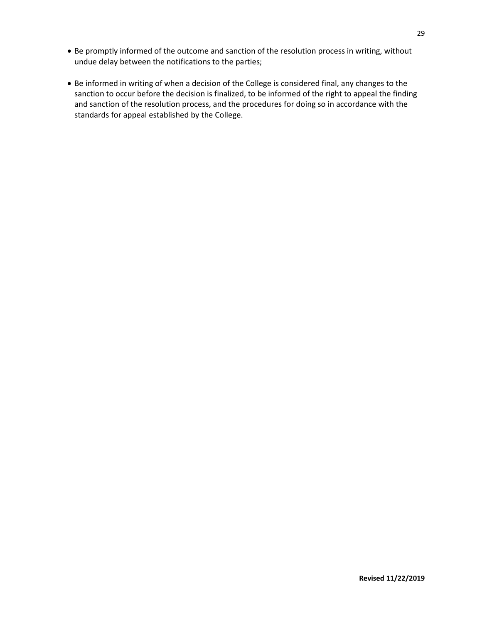- Be promptly informed of the outcome and sanction of the resolution process in writing, without undue delay between the notifications to the parties;
- Be informed in writing of when a decision of the College is considered final, any changes to the sanction to occur before the decision is finalized, to be informed of the right to appeal the finding and sanction of the resolution process, and the procedures for doing so in accordance with the standards for appeal established by the College.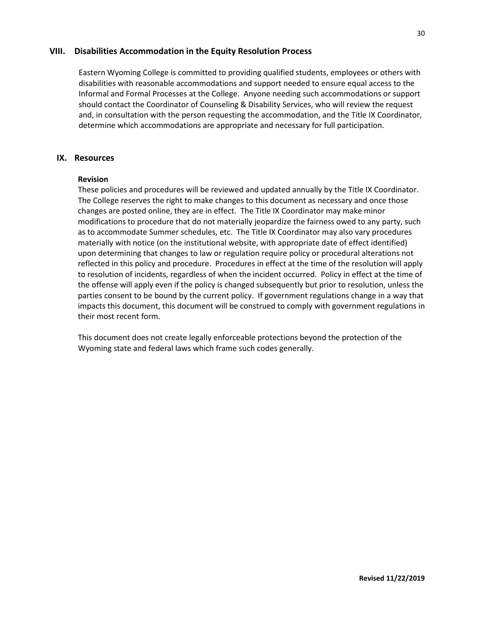# **VIII. Disabilities Accommodation in the Equity Resolution Process**

Eastern Wyoming College is committed to providing qualified students, employees or others with disabilities with reasonable accommodations and support needed to ensure equal access to the Informal and Formal Processes at the College. Anyone needing such accommodations or support should contact the Coordinator of Counseling & Disability Services, who will review the request and, in consultation with the person requesting the accommodation, and the Title IX Coordinator, determine which accommodations are appropriate and necessary for full participation.

# **IX. Resources**

# **Revision**

These policies and procedures will be reviewed and updated annually by the Title IX Coordinator. The College reserves the right to make changes to this document as necessary and once those changes are posted online, they are in effect. The Title IX Coordinator may make minor modifications to procedure that do not materially jeopardize the fairness owed to any party, such as to accommodate Summer schedules, etc. The Title IX Coordinator may also vary procedures materially with notice (on the institutional website, with appropriate date of effect identified) upon determining that changes to law or regulation require policy or procedural alterations not reflected in this policy and procedure. Procedures in effect at the time of the resolution will apply to resolution of incidents, regardless of when the incident occurred. Policy in effect at the time of the offense will apply even if the policy is changed subsequently but prior to resolution, unless the parties consent to be bound by the current policy. If government regulations change in a way that impacts this document, this document will be construed to comply with government regulations in their most recent form.

This document does not create legally enforceable protections beyond the protection of the Wyoming state and federal laws which frame such codes generally.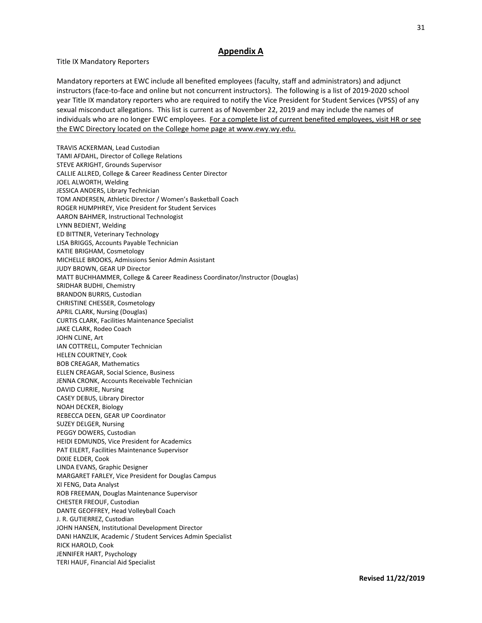# **Appendix A**

Title IX Mandatory Reporters

Mandatory reporters at EWC include all benefited employees (faculty, staff and administrators) and adjunct instructors (face-to-face and online but not concurrent instructors). The following is a list of 2019-2020 school year Title IX mandatory reporters who are required to notify the Vice President for Student Services (VPSS) of any sexual misconduct allegations. This list is current as of November 22, 2019 and may include the names of individuals who are no longer EWC employees. For a complete list of current benefited employees, visit HR or see the EWC Directory located on the College home page at www.ewy.wy.edu.

TRAVIS ACKERMAN, Lead Custodian TAMI AFDAHL, Director of College Relations STEVE AKRIGHT, Grounds Supervisor CALLIE ALLRED, College & Career Readiness Center Director JOEL ALWORTH, Welding JESSICA ANDERS, Library Technician TOM ANDERSEN, Athletic Director / Women's Basketball Coach ROGER HUMPHREY, Vice President for Student Services AARON BAHMER, Instructional Technologist LYNN BEDIENT, Welding ED BITTNER, Veterinary Technology LISA BRIGGS, Accounts Payable Technician KATIE BRIGHAM, Cosmetology MICHELLE BROOKS, Admissions Senior Admin Assistant JUDY BROWN, GEAR UP Director MATT BUCHHAMMER, College & Career Readiness Coordinator/Instructor (Douglas) SRIDHAR BUDHI, Chemistry BRANDON BURRIS, Custodian CHRISTINE CHESSER, Cosmetology APRIL CLARK, Nursing (Douglas) CURTIS CLARK, Facilities Maintenance Specialist JAKE CLARK, Rodeo Coach JOHN CLINE, Art IAN COTTRELL, Computer Technician HELEN COURTNEY, Cook BOB CREAGAR, Mathematics ELLEN CREAGAR, Social Science, Business JENNA CRONK, Accounts Receivable Technician DAVID CURRIE, Nursing CASEY DEBUS, Library Director NOAH DECKER, Biology REBECCA DEEN, GEAR UP Coordinator SUZEY DELGER, Nursing PEGGY DOWERS, Custodian HEIDI EDMUNDS, Vice President for Academics PAT EILERT, Facilities Maintenance Supervisor DIXIE ELDER, Cook LINDA EVANS, Graphic Designer MARGARET FARLEY, Vice President for Douglas Campus XI FENG, Data Analyst ROB FREEMAN, Douglas Maintenance Supervisor CHESTER FREOUF, Custodian DANTE GEOFFREY, Head Volleyball Coach J. R. GUTIERREZ, Custodian JOHN HANSEN, Institutional Development Director DANI HANZLIK, Academic / Student Services Admin Specialist RICK HAROLD, Cook JENNIFER HART, Psychology TERI HAUF, Financial Aid Specialist